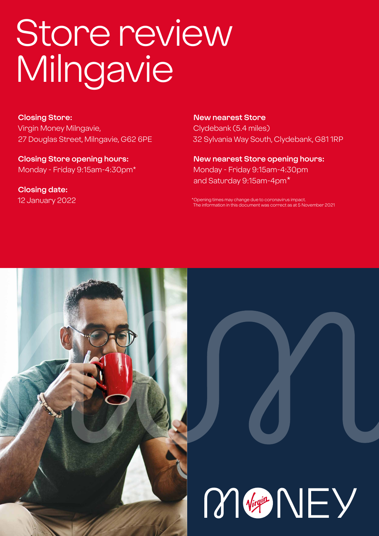# Store review Milngavie

**Closing Store:** Virgin Money Milngavie, 27 Douglas Street, Milngavie, G62 6PE

**Closing Store opening hours:**  Monday - Friday 9:15am-4:30pm\*

**Closing date:**  12 January 2022

**New nearest Store** Clydebank (5.4 miles) 32 Sylvania Way South, Clydebank, G81 1RP

**New nearest Store opening hours:** Monday - Friday 9:15am-4:30pm and Saturday 9:15am-4pm\*

\*Opening times may change due to coronavirus impact. The information in this document was correct as at 5 November 2021



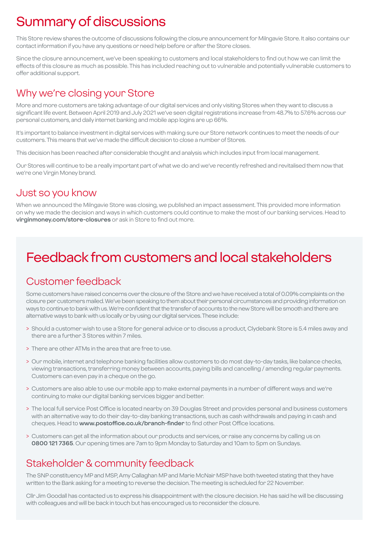# Summary of discussions

This Store review shares the outcome of discussions following the closure announcement for Milngavie Store. It also contains our contact information if you have any questions or need help before or after the Store closes.

Since the closure announcement, we've been speaking to customers and local stakeholders to find out how we can limit the effects of this closure as much as possible. This has included reaching out to vulnerable and potentially vulnerable customers to offer additional support.

### Why we're closing your Store

More and more customers are taking advantage of our digital services and only visiting Stores when they want to discuss a significant life event. Between April 2019 and July 2021 we've seen digital registrations increase from 48.7% to 57.6% across our personal customers, and daily internet banking and mobile app logins are up 66%.

It's important to balance investment in digital services with making sure our Store network continues to meet the needs of our customers. This means that we've made the difficult decision to close a number of Stores.

This decision has been reached after considerable thought and analysis which includes input from local management.

Our Stores will continue to be a really important part of what we do and we've recently refreshed and revitalised them now that we're one Virgin Money brand.

### Just so you know

When we announced the Milngavie Store was closing, we published an impact assessment. This provided more information on why we made the decision and ways in which customers could continue to make the most of our banking services. Head to **virginmoney.com/store-closures** or ask in Store to find out more.

# Feedback from customers and local stakeholders

### Customer feedback

Some customers have raised concerns over the closure of the Store and we have received a total of 0.09% complaints on the closure per customers mailed. We've been speaking to them about their personal circumstances and providing information on ways to continue to bank with us. We're confident that the transfer of accounts to the new Store will be smooth and there are alternative ways to bank with us locally or by using our digital services. These include:

- > Should a customer wish to use a Store for general advice or to discuss a product, Clydebank Store is 5.4 miles away and there are a further 3 Stores within 7 miles.
- > There are other ATMs in the area that are free to use.
- > Our mobile, internet and telephone banking facilities allow customers to do most day-to-day tasks, like balance checks, viewing transactions, transferring money between accounts, paying bills and cancelling / amending regular payments. Customers can even pay in a cheque on the go.
- > Customers are also able to use our mobile app to make external payments in a number of different ways and we're continuing to make our digital banking services bigger and better.
- > The local full service Post Office is located nearby on 39 Douglas Street and provides personal and business customers with an alternative way to do their day-to-day banking transactions, such as cash withdrawals and paying in cash and cheques. Head to **www.postoffice.co.uk/branch-finder** to find other Post Office locations.
- > Customers can get all the information about our products and services, or raise any concerns by calling us on **0800 121 7365**. Our opening times are 7am to 9pm Monday to Saturday and 10am to 5pm on Sundays.

### Stakeholder & community feedback

The SNP constituency MP and MSP, Amy Callaghan MP and Marie McNair MSP have both tweeted stating that they have written to the Bank asking for a meeting to reverse the decision. The meeting is scheduled for 22 November.

Cllr Jim Goodall has contacted us to express his disappointment with the closure decision. He has said he will be discussing with colleagues and will be back in touch but has encouraged us to reconsider the closure.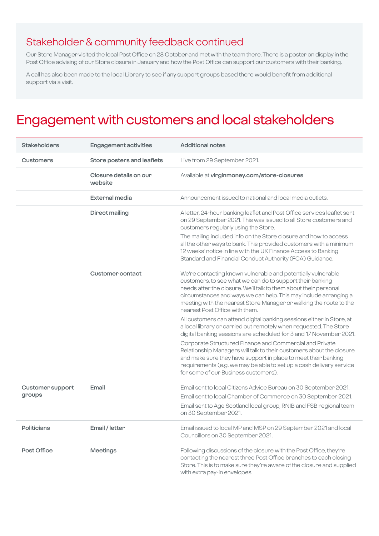### Stakeholder & community feedback continued

Our Store Manager visited the local Post Office on 28 October and met with the team there. There is a poster on display in the Post Office advising of our Store closure in January and how the Post Office can support our customers with their banking.

A call has also been made to the local Library to see if any support groups based there would benefit from additional support via a visit.

# Engagement with customers and local stakeholders

| <b>Stakeholders</b>               | <b>Engagement activities</b>      | <b>Additional notes</b>                                                                                                                                                                                                                                                                                                                                                   |
|-----------------------------------|-----------------------------------|---------------------------------------------------------------------------------------------------------------------------------------------------------------------------------------------------------------------------------------------------------------------------------------------------------------------------------------------------------------------------|
| <b>Customers</b>                  | Store posters and leaflets        | Live from 29 September 2021.                                                                                                                                                                                                                                                                                                                                              |
|                                   | Closure details on our<br>website | Available at virginmoney.com/store-closures                                                                                                                                                                                                                                                                                                                               |
|                                   | External media                    | Announcement issued to national and local media outlets.                                                                                                                                                                                                                                                                                                                  |
|                                   | <b>Direct mailing</b>             | A letter, 24-hour banking leaflet and Post Office services leaflet sent<br>on 29 September 2021. This was issued to all Store customers and<br>customers regularly using the Store.                                                                                                                                                                                       |
|                                   |                                   | The mailing included info on the Store closure and how to access<br>all the other ways to bank. This provided customers with a minimum<br>12 weeks' notice in line with the UK Finance Access to Banking<br>Standard and Financial Conduct Authority (FCA) Guidance.                                                                                                      |
|                                   | <b>Customer contact</b>           | We're contacting known vulnerable and potentially vulnerable<br>customers, to see what we can do to support their banking<br>needs after the closure. We'll talk to them about their personal<br>circumstances and ways we can help. This may include arranging a<br>meeting with the nearest Store Manager or walking the route to the<br>nearest Post Office with them. |
|                                   |                                   | All customers can attend digital banking sessions either in Store, at<br>a local library or carried out remotely when requested. The Store<br>digital banking sessions are scheduled for 3 and 17 November 2021.                                                                                                                                                          |
|                                   |                                   | Corporate Structured Finance and Commercial and Private<br>Relationship Managers will talk to their customers about the closure<br>and make sure they have support in place to meet their banking<br>requirements (e.g. we may be able to set up a cash delivery service<br>for some of our Business customers).                                                          |
| <b>Customer support</b><br>groups | Email                             | Email sent to local Citizens Advice Bureau on 30 September 2021.<br>Email sent to local Chamber of Commerce on 30 September 2021.<br>Email sent to Age Scotland local group, RNIB and FSB regional team<br>on 30 September 2021.                                                                                                                                          |
| <b>Politicians</b>                | Email / letter                    | Email issued to local MP and MSP on 29 September 2021 and local<br>Councillors on 30 September 2021.                                                                                                                                                                                                                                                                      |
| Post Office                       | <b>Meetings</b>                   | Following discussions of the closure with the Post Office, they're<br>contacting the nearest three Post Office branches to each closing<br>Store. This is to make sure they're aware of the closure and supplied<br>with extra pay-in envelopes.                                                                                                                          |